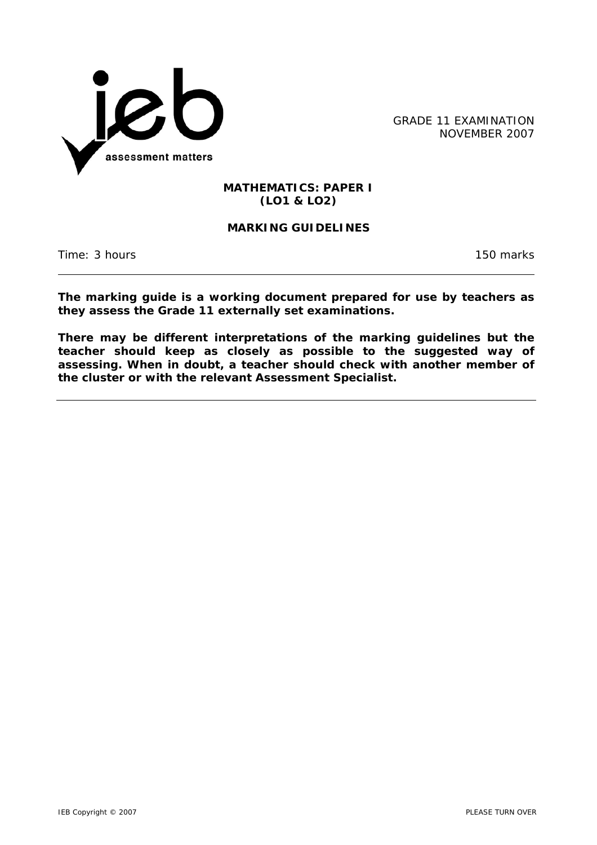

GRADE 11 EXAMINATION NOVEMBER 2007

## **MATHEMATICS: PAPER I (LO1 & LO2)**

## **MARKING GUIDELINES**

Time: 3 hours 150 marks

**The marking guide is a working document prepared for use by teachers as they assess the Grade 11 externally set examinations.** 

**There may be different interpretations of the marking guidelines but the teacher should keep as closely as possible to the suggested way of assessing. When in doubt, a teacher should check with another member of the cluster or with the relevant Assessment Specialist.**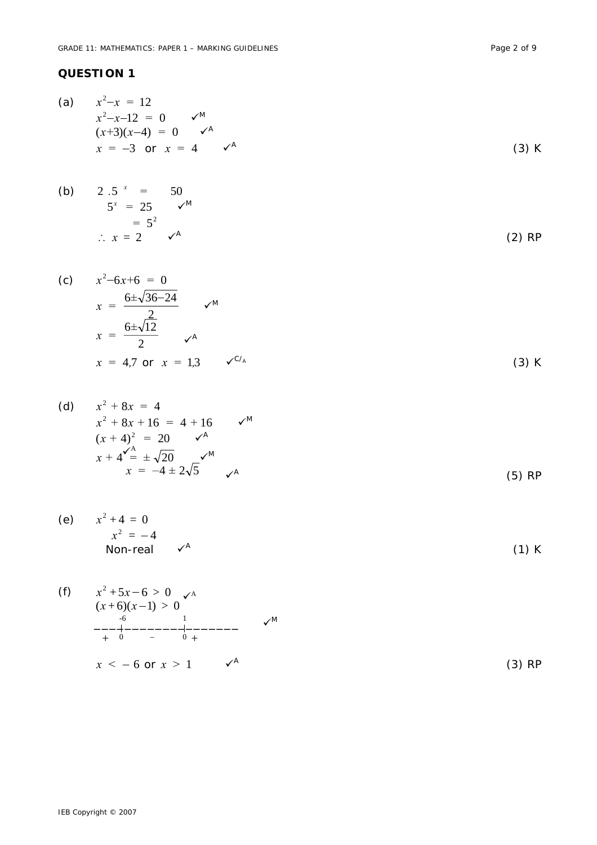## **QUESTION 1**

(a) 
$$
x^2 - x = 12
$$
  
\n $x^2 - x - 12 = 0$   $\checkmark$   
\n $(x+3)(x-4) = 0$   $\checkmark$   
\n $x = -3$  or  $x = 4$   $\checkmark$ <sup>A</sup> (3) K

(b) 
$$
2 \cdot .5^x = 50
$$
  
\n $5^x = 25 \quad \checkmark^M$   
\n $= 5^2$   
\n $\therefore x = 2 \quad \checkmark^A$  (2) RP

(c) 
$$
x^2-6x+6 = 0
$$
  
\n $x = \frac{6 \pm \sqrt{36-24}}{2}$   $\checkmark$   
\n $x = \frac{6 \pm \sqrt{12}}{2}$   $\checkmark$   
\n $x = 4,7 \text{ or } x = 1,3$   $\checkmark$ <sup>C/A</sup> (3) K

(d) 
$$
x^2 + 8x = 4
$$
  
\n $x^2 + 8x + 16 = 4 + 16$   $\checkmark$   
\n $(x + 4)^2 = 20$   $\checkmark$   
\n $x + 4\checkmark = \pm \sqrt{20}$   
\n $x = -4 \pm 2\sqrt{5}$   $\checkmark$   
\n(5) RP

(e) 
$$
x^2 + 4 = 0
$$
  
\n $x^2 = -4$   
\nNon-real  $\checkmark^A$  (1) K

(f) 
$$
x^2 + 5x - 6 > 0
$$
  $\checkmark$   
\n $(x+6)(x-1) > 0$   
\n $+ 6 - 1$   
\n $x < -6$  or  $x > 1$   $\checkmark$   
\n $(3) RP$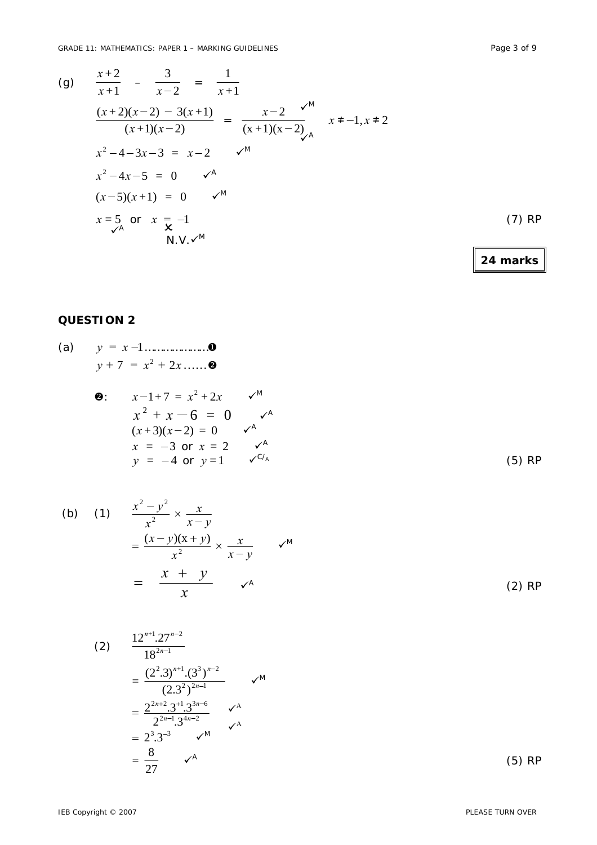(g) 
$$
\frac{x+2}{x+1} - \frac{3}{x-2} = \frac{1}{x+1}
$$
  
\n
$$
\frac{(x+2)(x-2) - 3(x+1)}{(x+1)(x-2)} = \frac{x-2}{(x+1)(x-2)} \quad x \neq -1, x \neq 2
$$
  
\n
$$
x^2 - 4 - 3x - 3 = x - 2 \quad \checkmark^M
$$
  
\n
$$
x^2 - 4x - 5 = 0 \quad \checkmark^A
$$
  
\n
$$
(x-5)(x+1) = 0 \quad \checkmark^M
$$
  
\n
$$
x = 5 \quad \text{or} \quad x = -1 \quad \text{(7) RP}
$$

**24 marks**

## **QUESTION 2**

(a) 
$$
y = x-1
$$
............**0**  
 $y+7 = x^2 + 2x$ ....**0**

$$
\begin{array}{lll}\n\mathbf{Q}: & x - 1 + 7 = x^2 + 2x & \swarrow^M \\
& x^2 + x - 6 = 0 & \swarrow^A \\
& (x + 3)(x - 2) = 0 & \swarrow^A \\
& x = -3 \text{ or } x = 2 & \swarrow^A \\
& y = -4 \text{ or } y = 1 & \swarrow^{C/A}\n\end{array}
$$
\n(5) RP

(b) (1) 
$$
\frac{x^2 - y^2}{x^2} \times \frac{x}{x - y}
$$

$$
= \frac{(x - y)(x + y)}{x^2} \times \frac{x}{x - y} \qquad \checkmark{M}
$$

$$
= \frac{x + y}{x} \qquad \checkmark{A}
$$

$$
(2) \frac{12^{n+1} \cdot 27^{n-2}}{18^{2n-1}}
$$
\n
$$
= \frac{(2^2 \cdot 3)^{n+1} \cdot (3^3)^{n-2}}{(2 \cdot 3^2)^{2n-1}}
$$
\n
$$
= \frac{2^{2n+2} \cdot 3^{2+1} \cdot 3^{3n-6}}{2^{2n-1} \cdot 3^{4n-2}}
$$
\n
$$
= 2^3 \cdot 3^{-3}
$$
\n
$$
= \frac{8}{27}
$$
\n
$$
\checkmark^{A}
$$
\n
$$
(5) RP
$$

(2) RP

IEB Copyright © 2007 PLEASE TURN OVER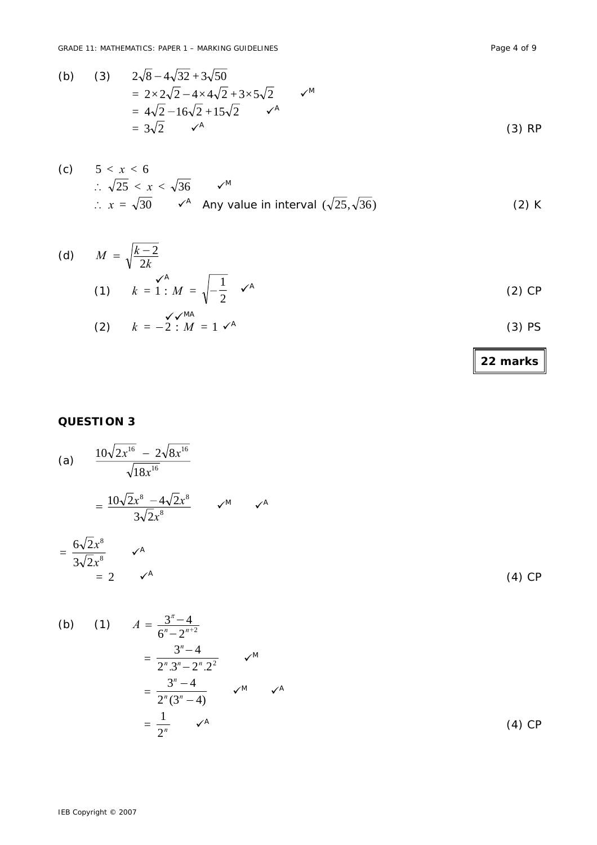(b) (3) 
$$
2\sqrt{8} - 4\sqrt{32} + 3\sqrt{50}
$$
  
\t\t\t $= 2 \times 2\sqrt{2} - 4 \times 4\sqrt{2} + 3 \times 5\sqrt{2}$   $\checkmark$   
\t\t\t $= 4\sqrt{2} - 16\sqrt{2} + 15\sqrt{2}$   $\checkmark$   
\t\t\t $= 3\sqrt{2}$   $\checkmark$ <sup>A</sup> (3) RP

(c) 
$$
5 < x < 6
$$
  
\n
$$
\therefore \sqrt{25} < x < \sqrt{36} \qquad \checkmark^M
$$
\n
$$
\therefore x = \sqrt{30} \qquad \checkmark^A \quad \text{Any value in interval } (\sqrt{25}, \sqrt{36})
$$
\n(2) K

(d) 
$$
M = \sqrt{\frac{k-2}{2k}}
$$
  
\n(1)  $k = 1 : M = \sqrt{-\frac{1}{2}} \checkmark^A$   
\n(2)  $k = -2 : M = 1 \checkmark^A$   
\n(3) PS

## **QUESTION 3**

(a) 
$$
\frac{10\sqrt{2x^{16}} - 2\sqrt{8x^{16}}}{\sqrt{18x^{16}}}
$$
  
= 
$$
\frac{10\sqrt{2x^8 - 4\sqrt{2x^8}}}{3\sqrt{2x^8}}
$$
  $\checkmark$   
= 
$$
\frac{6\sqrt{2x^8}}{3\sqrt{2x^8}}
$$
  $\checkmark$   
= 2  $\checkmark$ <sup>A</sup> (4) CP

(b) (1) 
$$
A = \frac{3^{n} - 4}{6^{n} - 2^{n+2}}
$$
  
\n
$$
= \frac{3^{n} - 4}{2^{n} \cdot 3^{n} - 2^{n} \cdot 2^{2}} \qquad \checkmark^{M}
$$
  
\n
$$
= \frac{3^{n} - 4}{2^{n} \cdot (3^{n} - 4)} \qquad \checkmark^{M}
$$
  
\n
$$
= \frac{1}{2^{n}} \qquad \checkmark^{A}
$$
  
\n(4) CP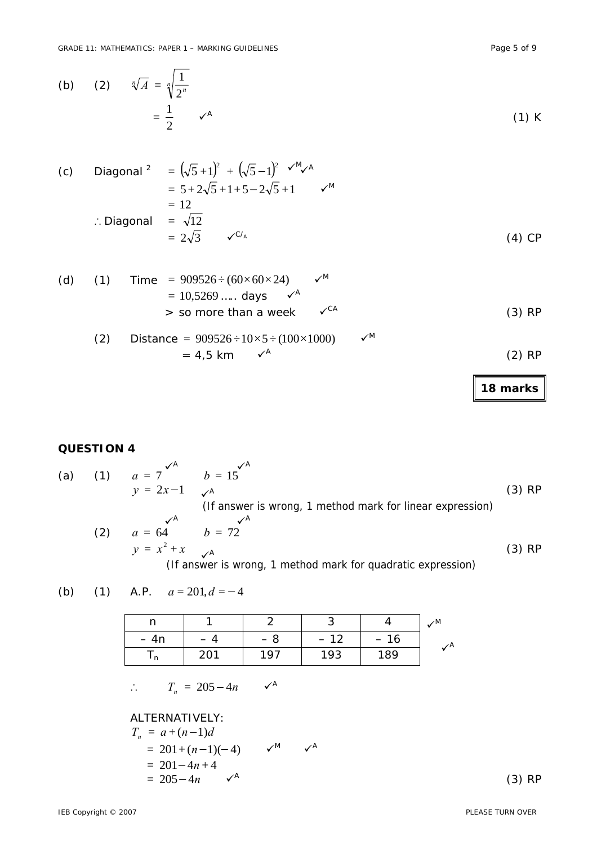(c) Diagonal 
$$
= (\sqrt{5} + 1)^2 + (\sqrt{5} - 1)^2 \sqrt{4} \sqrt{4}
$$
  
\n
$$
= 5 + 2\sqrt{5} + 1 + 5 - 2\sqrt{5} + 1 \sqrt{4}
$$
  
\n
$$
= 12
$$
  
\n
$$
\therefore \text{ Diagonal } = \sqrt{12}
$$
  
\n
$$
= 2\sqrt{3} \sqrt{6} = 4
$$
 (4) CP

(d) (1) Time = 
$$
909526 \div (60 \times 60 \times 24)
$$
  $\checkmark$   
= 10,5269 ..... days  $\checkmark$   
> so more than a week  $\checkmark$ 

(2) Distance = 
$$
909526 \div 10 \times 5 \div (100 \times 1000)
$$
  $\checkmark^M$   
= 4.5 km  $\checkmark^A$  (2) RP

**18 marks**

### **QUESTION 4**

(a) (1) 
$$
a = 7 \int_{0}^{\sqrt{A}} b = 15 \int_{0}^{\sqrt{A}} 6
$$
 (3) RP  
\n $y = 2x - 1 \int_{0}^{\sqrt{A}} (1 \text{ answer is wrong, 1 method mark for linear expression})$   
\n(2)  $a = 64 \qquad b = 72 \qquad y = x^2 + x \qquad \sqrt{A}$   
\n(3) RP  
\n(4)  $y = 15 \qquad \sqrt{A}$   
\n(5) RP  
\n(6) CP

(b) (1) A.P.  $a = 201, d = -4$ 

|        |    |     |                                    |      | ∕Μ |
|--------|----|-----|------------------------------------|------|----|
| $= An$ |    |     | $-1$ <sup><math>\circ</math></sup> | - 16 |    |
|        | ∠◡ | 197 | 193                                | 189  |    |

$$
\therefore T_n = 205 - 4n \qquad \checkmark^A
$$

#### ALTERNATIVELY:  $T = a + (n-1)d$

$$
I_n = a + (n-1)a
$$
  
= 201 + (n-1)(-4)  $\checkmark^M$   
= 201 - 4n + 4  
= 205 - 4n  $\checkmark^A$  (3) RP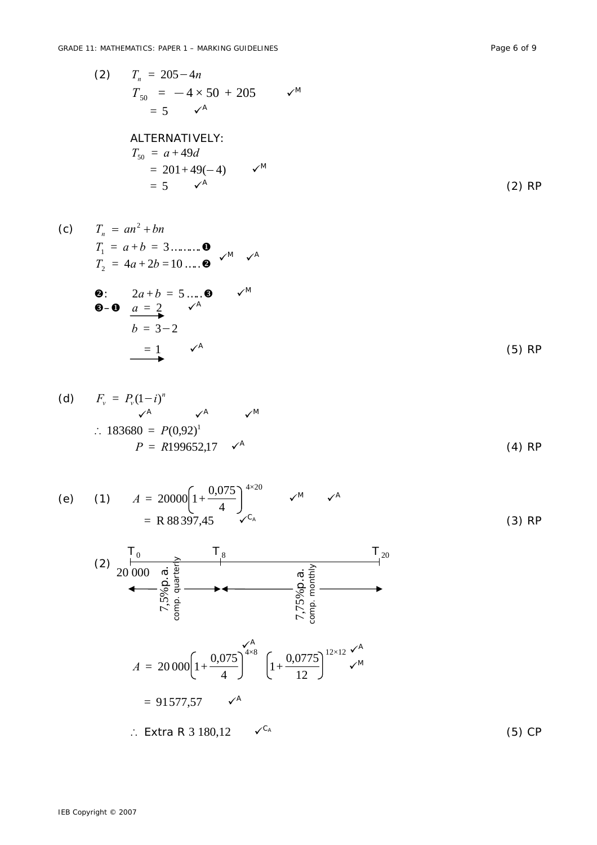(5) CP

(2) 
$$
T_n = 205 - 4n
$$

$$
T_{50} = -4 \times 50 + 205 \qquad \sqrt{M}
$$

$$
= 5 \qquad \sqrt{A}
$$

$$
ALTERNATIVELY:
$$

$$
T_{50} = a + 49d
$$

$$
T_{50} = a + 49d
$$
  
= 201 + 49(-4)  $\sqrt{M}$   
= 5  $\sqrt{A}$  (2) RP

(c) 
$$
T_n = an^2 + bn
$$
  
\n $T_1 = a + b = 3$ ........**0**  
\n $T_2 = 4a + 2b = 10$ ....**0**  $\checkmark^M$   $\checkmark^A$   
\n**0**:  $2a + b = 5$ ....**0**  $\checkmark^M$   
\n**0** - **0**  $\underset{a = 2}{a = 2}$   $\checkmark^A$   
\n $b = 3-2$ 

$$
= 1 \qquad \qquad \checkmark^A
$$

(d) 
$$
F_v = P_v(1-i)^n
$$
  
\n $\sim^A$   $\sim^A$   $\sim^M$   
\n $\therefore 183680 = P(0,92)^1$   
\n $P = R199652,17 \sim^A$  (4) RP

(e) (1) 
$$
A = 20000 \left[ 1 + \frac{0.075}{4} \right]^{4 \times 20}
$$
  $\checkmark$ <sup>M</sup>  $\checkmark$ <sup>A</sup>  
= R 88 397,45  $\checkmark$ <sup>C\_A</sup> (3) RP

(2) 
$$
\frac{1}{20\,000}
$$
  $\underset{\begin{array}{c}\n0 \\
\infty \\
\infty \\
\infty \\
\infty \\
\infty\n\end{array}}{\n\begin{array}{c}\n0 \\
\infty \\
\infty \\
\infty \\
\infty\n\end{array}}$   $\begin{array}{c}\n\frac{1}{6} \\
\infty \\
\infty \\
\infty \\
\infty\n\end{array}$   $\begin{array}{c}\n0 \\
\infty \\
\infty \\
\infty \\
\infty\n\end{array}$   $\begin{array}{c}\n0 \\
\infty \\
\infty \\
\infty \\
\infty\n\end{array}$   $\begin{array}{c}\n0 \\
\infty \\
\infty \\
\infty\n\end{array}$   $\begin{array}{c}\n0 \\
\infty \\
\infty \\
\infty\n\end{array}$   $\begin{array}{c}\n1 \\
\infty \\
\infty\n\end{array}$   $\begin{array}{c}\n1 \\
\infty \\
\infty\n\end{array}$   $\begin{array}{c}\n1 \\
\infty\n\end{array}$   $\begin{array}{c}\n1 \\
\infty\n\end{array}$   $\begin{array}{c}\n1 \\
\infty\n\end{array}$   $\begin{array}{c}\n1 \\
\infty\n\end{array}$   $\begin{array}{c}\n1 \\
\infty\n\end{array}$   $\begin{array}{c}\n1 \\
\infty\n\end{array}$   $\begin{array}{c}\n1 \\
\infty\n\end{array}$   $\begin{array}{c}\n1 \\
\infty\n\end{array}$   $\begin{array}{c}\n1 \\
\infty\n\end{array}$   $\begin{array}{c}\n1 \\
\infty\n\end{array}$   $\begin{array}{c}\n1 \\
\infty\n\end{array}$   $\begin{array}{c}\n1 \\
\infty\n\end{array}$   $\begin{array}{c}\n1 \\
\infty\n\end{array}$   $\begin{array}{c}\n1 \\
\infty\n\end{array}$   $\begin{array}{c}\n1 \\
\infty\n\end{array}$   $\begin{array}{c}\n1 \\
\infty\n\end{array}$   $\begin{array}{c}\n1 \\
\infty\n\end{array}$   $\begin{array}{c}\n1 \\
\infty\n\end{array}$   $\begin{array}{c}\n1 \\
\infty\n\end{array}$   $\begin{array$ 

IEB Copyright © 2007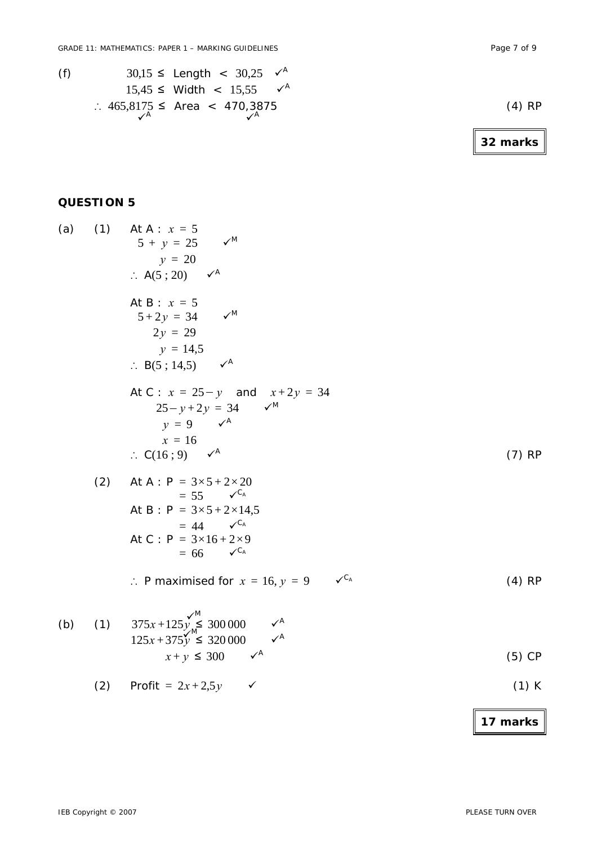(f)  $30,15 \leq$  Length <  $30,25$   $\checkmark$ <sup>A</sup>

 $\mathcal{V}^{\mathsf{A}}$   $\mathcal{V}^{\mathsf{A}}$ 

 $15,45$  ≤ Width <  $15,55$   $\checkmark$ <sup>A</sup>

$$
\therefore 465,8175 \le \text{Area} < 470,3875 \tag{4} \tag{5} \text{RP}
$$

**32 marks**

## **QUESTION 5**

(a) (1) At A: 
$$
x = 5
$$
  
\n $5 + y = 25$   $\checkmark$   
\n $y = 20$   
\n $\therefore A(5; 20) \quad \checkmark$   
\nAt B:  $x = 5$   
\n $5 + 2y = 34$   $\checkmark$   
\n $2y = 29$   
\n $y = 14,5$   
\n $\therefore B(5; 14,5) \quad \checkmark$   
\nAt C:  $x = 25 - y$  and  $x + 2y = 34$   
\n $25 - y + 2y = 34$   $\checkmark$   
\n $y = 9$   $\checkmark$   
\n $x = 16$   
\n $\therefore C(16; 9) \quad \checkmark$   
\n(2) At A: P = 3x5 + 2x20  
\n= 55 x5 + 2x24  
\n $= 44$   $\checkmark$   
\nAt B: P = 3x5 + 2x24  
\n= 5x5 + 2x14,5  
\n= 44 x<sup>C<sub>A</sub></sup>  
\nAt C: P = 3x16 + 2x9  
\n= 66 x<sup>C<sub>A</sub></sup>  
\n $\therefore$  P maximised for  $x = 16, y = 9$   $\checkmark$   
\n $\therefore$  P maximised for  $x = 16, y = 9$   $\checkmark$   
\n(4) RP  
\n(b) (1) 375x + 125y<sup>1/8</sup>  
\n125x + 375y<sup>1/8</sup>  
\n300000  $\checkmark$   
\n $x + y \le 300$   $\checkmark$   
\n(5) CP

$$
(2) \quad \text{Profit} = 2x + 2.5y \quad \checkmark \tag{1) K}
$$

**17 marks**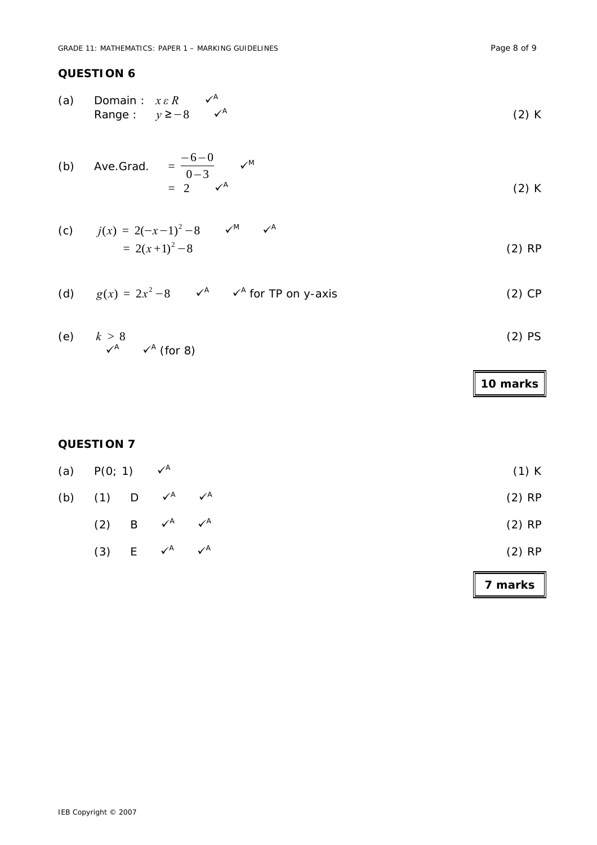## **QUESTION 6**

(a) Domain :  $x \in R$   $\checkmark^A$ Range :  $y \ge -8$   $\checkmark^A$ (2) K

(b) Ave.Grad. 
$$
=\frac{-6-0}{0-3}
$$
  $v^M$   
=  $2$   $v^A$  (2) K

(c) 
$$
j(x) = 2(-x-1)^2 - 8
$$
  $\checkmark^M$   $\checkmark^A$   
=  $2(x+1)^2 - 8$  (2) RP

(d) 
$$
g(x) = 2x^2 - 8
$$
  $\checkmark$   $\checkmark$  for TP on y-axis (2) CP

(e) 
$$
k > 8
$$
 (2) PS

# **10 marks**

## **QUESTION 7**

|     | (a) $P(0; 1)$ $\checkmark^A$      |                                     |                           | $(1)$ K  |
|-----|-----------------------------------|-------------------------------------|---------------------------|----------|
| (b) | $(1)$ D $\checkmark$ <sup>A</sup> |                                     | $\checkmark$ <sup>A</sup> | $(2)$ RP |
|     |                                   | (2) B $\checkmark^A$ $\checkmark^A$ |                           | $(2)$ RP |
|     |                                   | (3) $E \quad v^A \quad v^A$         |                           | $(2)$ RP |
|     |                                   |                                     |                           |          |

**7 marks**